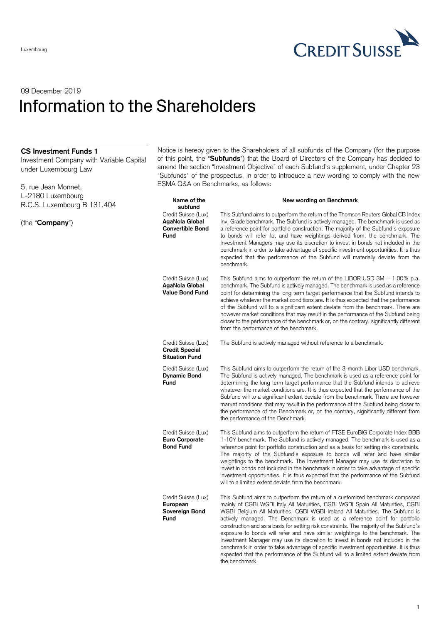

## 09 December 2019 Information to the Shareholders

| <b>CS Investment Funds 1</b><br>Investment Company with Variable Capital<br>under Luxembourg Law<br>5, rue Jean Monnet, | Notice is hereby given to the Shareholders of all subfunds of the Company (for the purpose<br>of this point, the "Subfunds") that the Board of Directors of the Company has decided to<br>amend the section "Investment Objective" of each Subfund's supplement, under Chapter 23<br>"Subfunds" of the prospectus, in order to introduce a new wording to comply with the new<br>ESMA Q&A on Benchmarks, as follows: |                                                                                                                                                                                                                                                                                                                                                                                                                                                                                                                                                                                                                                                                                                                                                                                                  |
|-------------------------------------------------------------------------------------------------------------------------|----------------------------------------------------------------------------------------------------------------------------------------------------------------------------------------------------------------------------------------------------------------------------------------------------------------------------------------------------------------------------------------------------------------------|--------------------------------------------------------------------------------------------------------------------------------------------------------------------------------------------------------------------------------------------------------------------------------------------------------------------------------------------------------------------------------------------------------------------------------------------------------------------------------------------------------------------------------------------------------------------------------------------------------------------------------------------------------------------------------------------------------------------------------------------------------------------------------------------------|
| L-2180 Luxembourg                                                                                                       | Name of the                                                                                                                                                                                                                                                                                                                                                                                                          | New wording on Benchmark                                                                                                                                                                                                                                                                                                                                                                                                                                                                                                                                                                                                                                                                                                                                                                         |
| R.C.S. Luxembourg B 131.404                                                                                             | subfund                                                                                                                                                                                                                                                                                                                                                                                                              |                                                                                                                                                                                                                                                                                                                                                                                                                                                                                                                                                                                                                                                                                                                                                                                                  |
| (the "Company")                                                                                                         | Credit Suisse (Lux)<br>AgaNola Global<br><b>Convertible Bond</b><br>Fund                                                                                                                                                                                                                                                                                                                                             | This Subfund aims to outperform the return of the Thomson Reuters Global CB Index<br>Inv. Grade benchmark. The Subfund is actively managed. The benchmark is used as<br>a reference point for portfolio construction. The majority of the Subfund's exposure<br>to bonds will refer to, and have weightings derived from, the benchmark. The<br>Investment Managers may use its discretion to invest in bonds not included in the<br>benchmark in order to take advantage of specific investment opportunities. It is thus<br>expected that the performance of the Subfund will materially deviate from the<br>benchmark.                                                                                                                                                                        |
|                                                                                                                         | Credit Suisse (Lux)<br>AgaNola Global<br><b>Value Bond Fund</b>                                                                                                                                                                                                                                                                                                                                                      | This Subfund aims to outperform the return of the LIBOR USD $3M + 1.00\%$ p.a.<br>benchmark. The Subfund is actively managed. The benchmark is used as a reference<br>point for determining the long term target performance that the Subfund intends to<br>achieve whatever the market conditions are. It is thus expected that the performance<br>of the Subfund will to a significant extent deviate from the benchmark. There are<br>however market conditions that may result in the performance of the Subfund being<br>closer to the performance of the benchmark or, on the contrary, significantly different<br>from the performance of the benchmark.                                                                                                                                  |
|                                                                                                                         | Credit Suisse (Lux)<br><b>Credit Special</b><br><b>Situation Fund</b>                                                                                                                                                                                                                                                                                                                                                | The Subfund is actively managed without reference to a benchmark.                                                                                                                                                                                                                                                                                                                                                                                                                                                                                                                                                                                                                                                                                                                                |
|                                                                                                                         | Credit Suisse (Lux)<br><b>Dynamic Bond</b><br>Fund                                                                                                                                                                                                                                                                                                                                                                   | This Subfund aims to outperform the return of the 3-month Libor USD benchmark.<br>The Subfund is actively managed. The benchmark is used as a reference point for<br>determining the long term target performance that the Subfund intends to achieve<br>whatever the market conditions are. It is thus expected that the performance of the<br>Subfund will to a significant extent deviate from the benchmark. There are however<br>market conditions that may result in the performance of the Subfund being closer to<br>the performance of the Benchmark or, on the contrary, significantly different from<br>the performance of the Benchmark.                                                                                                                                             |
|                                                                                                                         | Credit Suisse (Lux)<br>Euro Corporate<br><b>Bond Fund</b>                                                                                                                                                                                                                                                                                                                                                            | This Subfund aims to outperform the return of FTSE EuroBIG Corporate Index BBB<br>1-10Y benchmark. The Subfund is actively managed. The benchmark is used as a<br>reference point for portfolio construction and as a basis for setting risk constraints.<br>The majority of the Subfund's exposure to bonds will refer and have similar<br>weightings to the benchmark. The Investment Manager may use its discretion to<br>invest in bonds not included in the benchmark in order to take advantage of specific<br>investment opportunities. It is thus expected that the performance of the Subfund<br>will to a limited extent deviate from the benchmark.                                                                                                                                   |
|                                                                                                                         | Credit Suisse (Lux)<br>European<br>Sovereign Bond<br>Fund                                                                                                                                                                                                                                                                                                                                                            | This Subfund aims to outperform the return of a customized benchmark composed<br>mainly of CGBI WGBI Italy All Maturities, CGBI WGBI Spain All Maturities, CGBI<br>WGBI Belgium All Maturities, CGBI WGBI Ireland All Maturities. The Subfund is<br>actively managed. The Benchmark is used as a reference point for portfolio<br>construction and as a basis for setting risk constraints. The majority of the Subfund's<br>exposure to bonds will refer and have similar weightings to the benchmark. The<br>Investment Manager may use its discretion to invest in bonds not included in the<br>benchmark in order to take advantage of specific investment opportunities. It is thus<br>expected that the performance of the Subfund will to a limited extent deviate from<br>the benchmark. |